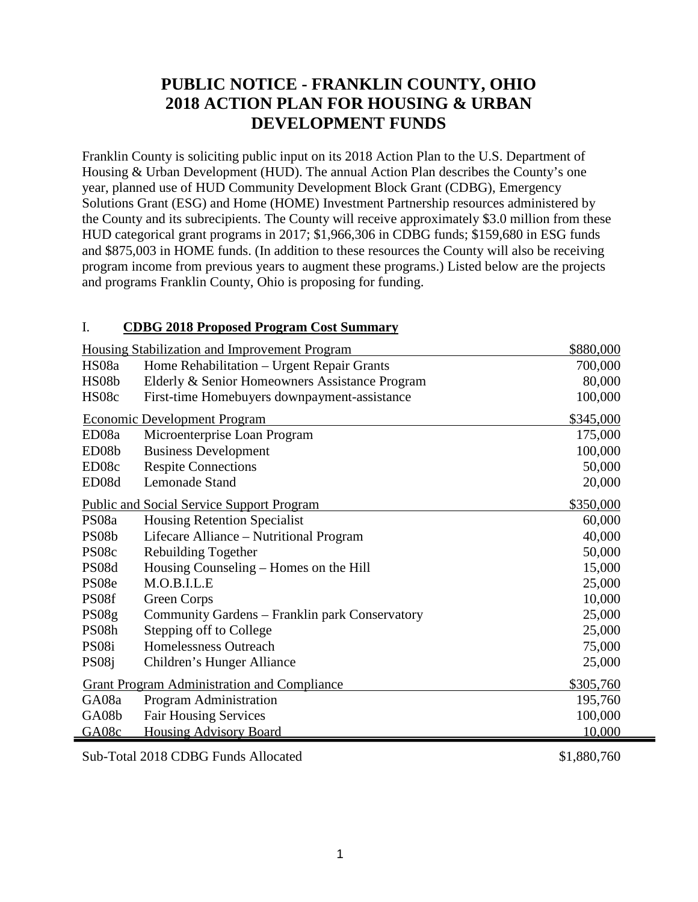## **PUBLIC NOTICE - FRANKLIN COUNTY, OHIO 2018 ACTION PLAN FOR HOUSING & URBAN DEVELOPMENT FUNDS**

Franklin County is soliciting public input on its 2018 Action Plan to the U.S. Department of Housing & Urban Development (HUD). The annual Action Plan describes the County's one year, planned use of HUD Community Development Block Grant (CDBG), Emergency Solutions Grant (ESG) and Home (HOME) Investment Partnership resources administered by the County and its subrecipients. The County will receive approximately \$3.0 million from these HUD categorical grant programs in 2017; \$1,966,306 in CDBG funds; \$159,680 in ESG funds and \$875,003 in HOME funds. (In addition to these resources the County will also be receiving program income from previous years to augment these programs.) Listed below are the projects and programs Franklin County, Ohio is proposing for funding.

## I. **CDBG 2018 Proposed Program Cost Summary**

|                    | <b>Housing Stabilization and Improvement Program</b> | \$880,000 |
|--------------------|------------------------------------------------------|-----------|
| HS08a              | Home Rehabilitation - Urgent Repair Grants           | 700,000   |
| HS08b              | Elderly & Senior Homeowners Assistance Program       | 80,000    |
| HS08c              | First-time Homebuyers downpayment-assistance         | 100,000   |
|                    | <b>Economic Development Program</b>                  | \$345,000 |
| ED <sub>08a</sub>  | Microenterprise Loan Program                         | 175,000   |
| ED <sub>08</sub> b | <b>Business Development</b>                          | 100,000   |
| ED08c              | <b>Respite Connections</b>                           | 50,000    |
| ED <sub>08</sub> d | <b>Lemonade Stand</b>                                | 20,000    |
|                    | <b>Public and Social Service Support Program</b>     | \$350,000 |
| PS08a              | <b>Housing Retention Specialist</b>                  | 60,000    |
| PS08b              | Lifecare Alliance – Nutritional Program              | 40,000    |
| PS08c              | Rebuilding Together                                  | 50,000    |
| PS08d              | Housing Counseling - Homes on the Hill               | 15,000    |
| PS08e              | M.O.B.I.L.E                                          | 25,000    |
| PS08f              | Green Corps                                          | 10,000    |
| PS08g              | Community Gardens – Franklin park Conservatory       | 25,000    |
| PS08h              | Stepping off to College                              | 25,000    |
| PS <sub>08i</sub>  | Homelessness Outreach                                | 75,000    |
| PS <sub>08</sub> j | Children's Hunger Alliance                           | 25,000    |
|                    | <b>Grant Program Administration and Compliance</b>   | \$305,760 |
| GA08a              | Program Administration                               | 195,760   |
| GA08b              | <b>Fair Housing Services</b>                         | 100,000   |
| GA08c              | <b>Housing Advisory Board</b>                        | 10,000    |
|                    |                                                      |           |

Sub-Total 2018 CDBG Funds Allocated \$1,880,760